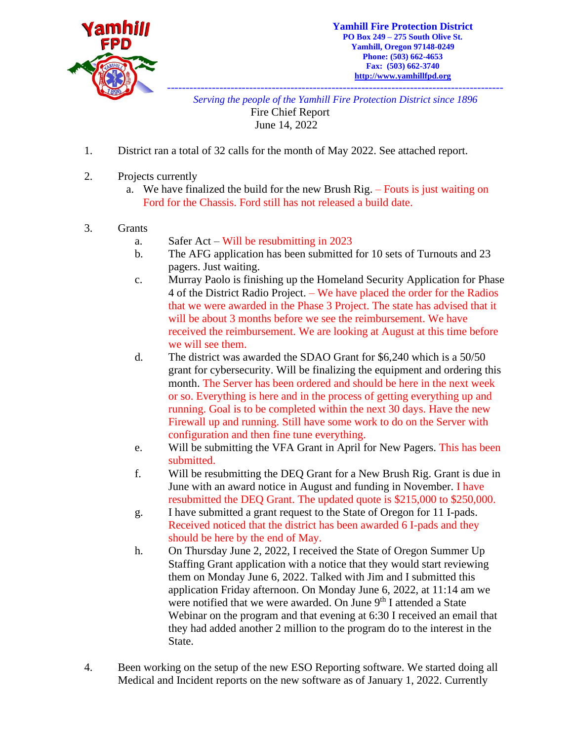

*------------------------------------------------------------------------------------------ Serving the people of the Yamhill Fire Protection District since 1896*

> Fire Chief Report June 14, 2022

- 1. District ran a total of 32 calls for the month of May 2022. See attached report.
- 2. Projects currently
	- a. We have finalized the build for the new Brush Rig. Fouts is just waiting on Ford for the Chassis. Ford still has not released a build date.
- 3. Grants
	- a. Safer Act Will be resubmitting in 2023
	- b. The AFG application has been submitted for 10 sets of Turnouts and 23 pagers. Just waiting.
	- c. Murray Paolo is finishing up the Homeland Security Application for Phase 4 of the District Radio Project. – We have placed the order for the Radios that we were awarded in the Phase 3 Project. The state has advised that it will be about 3 months before we see the reimbursement. We have received the reimbursement. We are looking at August at this time before we will see them.
	- d. The district was awarded the SDAO Grant for \$6,240 which is a 50/50 grant for cybersecurity. Will be finalizing the equipment and ordering this month. The Server has been ordered and should be here in the next week or so. Everything is here and in the process of getting everything up and running. Goal is to be completed within the next 30 days. Have the new Firewall up and running. Still have some work to do on the Server with configuration and then fine tune everything.
	- e. Will be submitting the VFA Grant in April for New Pagers. This has been submitted.
	- f. Will be resubmitting the DEQ Grant for a New Brush Rig. Grant is due in June with an award notice in August and funding in November. I have resubmitted the DEQ Grant. The updated quote is \$215,000 to \$250,000.
	- g. I have submitted a grant request to the State of Oregon for 11 I-pads. Received noticed that the district has been awarded 6 I-pads and they should be here by the end of May.
	- h. On Thursday June 2, 2022, I received the State of Oregon Summer Up Staffing Grant application with a notice that they would start reviewing them on Monday June 6, 2022. Talked with Jim and I submitted this application Friday afternoon. On Monday June 6, 2022, at 11:14 am we were notified that we were awarded. On June 9<sup>th</sup> I attended a State Webinar on the program and that evening at 6:30 I received an email that they had added another 2 million to the program do to the interest in the State.
- 4. Been working on the setup of the new ESO Reporting software. We started doing all Medical and Incident reports on the new software as of January 1, 2022. Currently